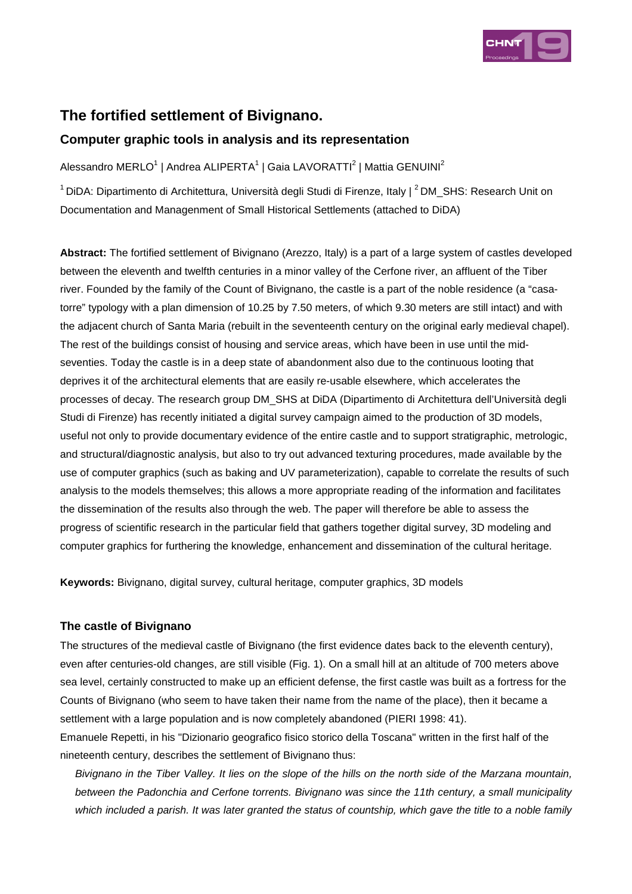

# **The fortified settlement of Bivignano.**

## **Computer graphic tools in analysis and its representation**

Alessandro MERLO<sup>1</sup> | Andrea ALIPERTA<sup>1</sup> | Gaia LAVORATTI<sup>2</sup> | Mattia GENUINI<sup>2</sup>

<sup>1</sup> DiDA: Dipartimento di Architettura, Università degli Studi di Firenze, Italy | <sup>2</sup> DM\_SHS: Research Unit on Documentation and Managenment of Small Historical Settlements (attached to DiDA)

**Abstract:** The fortified settlement of Bivignano (Arezzo, Italy) is a part of a large system of castles developed between the eleventh and twelfth centuries in a minor valley of the Cerfone river, an affluent of the Tiber river. Founded by the family of the Count of Bivignano, the castle is a part of the noble residence (a "casatorre" typology with a plan dimension of 10.25 by 7.50 meters, of which 9.30 meters are still intact) and with the adjacent church of Santa Maria (rebuilt in the seventeenth century on the original early medieval chapel). The rest of the buildings consist of housing and service areas, which have been in use until the midseventies. Today the castle is in a deep state of abandonment also due to the continuous looting that deprives it of the architectural elements that are easily re-usable elsewhere, which accelerates the processes of decay. The research group DM\_SHS at DiDA (Dipartimento di Architettura dell'Università degli Studi di Firenze) has recently initiated a digital survey campaign aimed to the production of 3D models, useful not only to provide documentary evidence of the entire castle and to support stratigraphic, metrologic, and structural/diagnostic analysis, but also to try out advanced texturing procedures, made available by the use of computer graphics (such as baking and UV parameterization), capable to correlate the results of such analysis to the models themselves; this allows a more appropriate reading of the information and facilitates the dissemination of the results also through the web. The paper will therefore be able to assess the progress of scientific research in the particular field that gathers together digital survey, 3D modeling and computer graphics for furthering the knowledge, enhancement and dissemination of the cultural heritage.

**Keywords:** Bivignano, digital survey, cultural heritage, computer graphics, 3D models

#### **The castle of Bivignano**

The structures of the medieval castle of Bivignano (the first evidence dates back to the eleventh century), even after centuries-old changes, are still visible (Fig. 1). On a small hill at an altitude of 700 meters above sea level, certainly constructed to make up an efficient defense, the first castle was built as a fortress for the Counts of Bivignano (who seem to have taken their name from the name of the place), then it became a settlement with a large population and is now completely abandoned (PIERI 1998: 41).

Emanuele Repetti, in his "Dizionario geografico fisico storico della Toscana" written in the first half of the nineteenth century, describes the settlement of Bivignano thus:

Bivignano in the Tiber Valley. It lies on the slope of the hills on the north side of the Marzana mountain, between the Padonchia and Cerfone torrents. Bivignano was since the 11th century, a small municipality which included a parish. It was later granted the status of countship, which gave the title to a noble family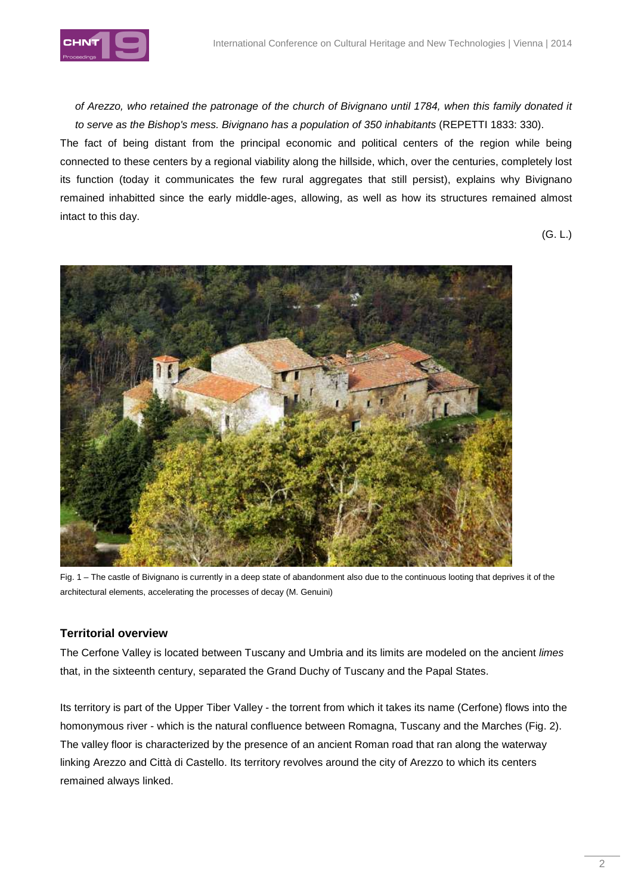

of Arezzo, who retained the patronage of the church of Bivignano until 1784, when this family donated it to serve as the Bishop's mess. Bivignano has a population of 350 inhabitants (REPETTI 1833: 330).

The fact of being distant from the principal economic and political centers of the region while being connected to these centers by a regional viability along the hillside, which, over the centuries, completely lost its function (today it communicates the few rural aggregates that still persist), explains why Bivignano remained inhabitted since the early middle-ages, allowing, as well as how its structures remained almost intact to this day.

(G. L.)



Fig. 1 – The castle of Bivignano is currently in a deep state of abandonment also due to the continuous looting that deprives it of the architectural elements, accelerating the processes of decay (M. Genuini)

#### **Territorial overview**

The Cerfone Valley is located between Tuscany and Umbria and its limits are modeled on the ancient limes that, in the sixteenth century, separated the Grand Duchy of Tuscany and the Papal States.

Its territory is part of the Upper Tiber Valley - the torrent from which it takes its name (Cerfone) flows into the homonymous river - which is the natural confluence between Romagna, Tuscany and the Marches (Fig. 2). The valley floor is characterized by the presence of an ancient Roman road that ran along the waterway linking Arezzo and Città di Castello. Its territory revolves around the city of Arezzo to which its centers remained always linked.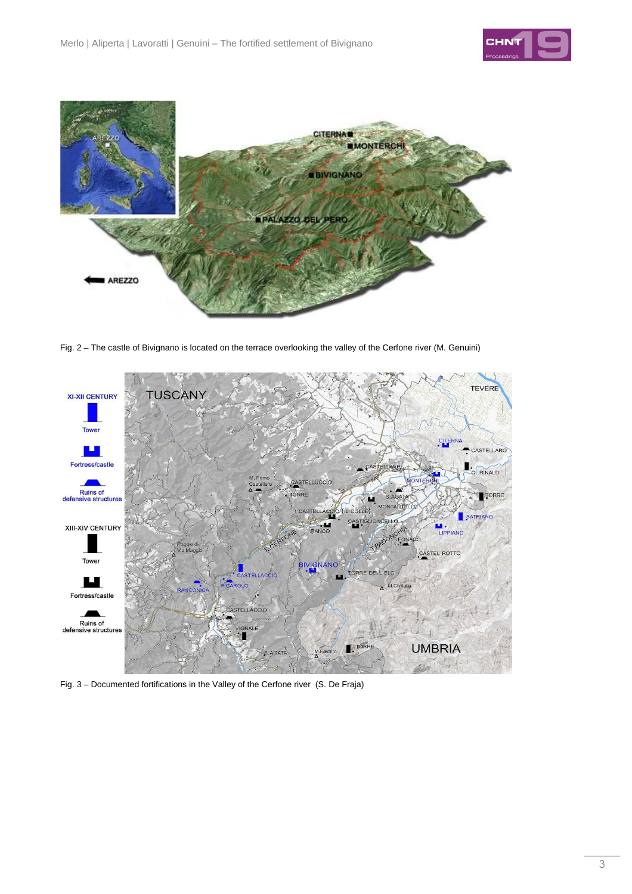



Fig. 2 – The castle of Bivignano is located on the terrace overlooking the valley of the Cerfone river (M. Genuini)



Fig. 3 – Documented fortifications in the Valley of the Cerfone river (S. De Fraja)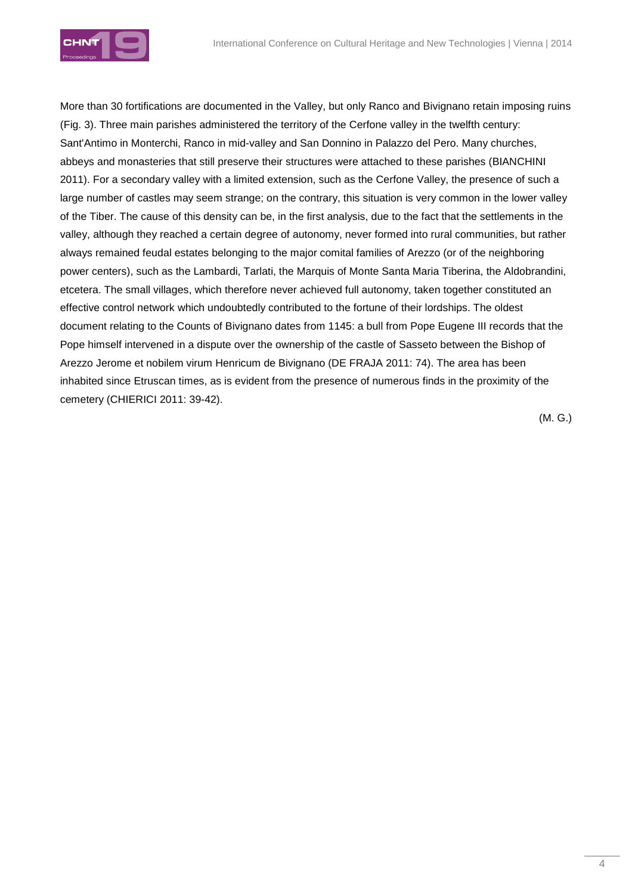

More than 30 fortifications are documented in the Valley, but only Ranco and Bivignano retain imposing ruins (Fig. 3). Three main parishes administered the territory of the Cerfone valley in the twelfth century: Sant'Antimo in Monterchi, Ranco in mid-valley and San Donnino in Palazzo del Pero. Many churches, abbeys and monasteries that still preserve their structures were attached to these parishes (BIANCHINI 2011). For a secondary valley with a limited extension, such as the Cerfone Valley, the presence of such a large number of castles may seem strange; on the contrary, this situation is very common in the lower valley of the Tiber. The cause of this density can be, in the first analysis, due to the fact that the settlements in the valley, although they reached a certain degree of autonomy, never formed into rural communities, but rather always remained feudal estates belonging to the major comital families of Arezzo (or of the neighboring power centers), such as the Lambardi, Tarlati, the Marquis of Monte Santa Maria Tiberina, the Aldobrandini, etcetera. The small villages, which therefore never achieved full autonomy, taken together constituted an effective control network which undoubtedly contributed to the fortune of their lordships. The oldest document relating to the Counts of Bivignano dates from 1145: a bull from Pope Eugene III records that the Pope himself intervened in a dispute over the ownership of the castle of Sasseto between the Bishop of Arezzo Jerome et nobilem virum Henricum de Bivignano (DE FRAJA 2011: 74). The area has been inhabited since Etruscan times, as is evident from the presence of numerous finds in the proximity of the cemetery (CHIERICI 2011: 39-42).

(M. G.)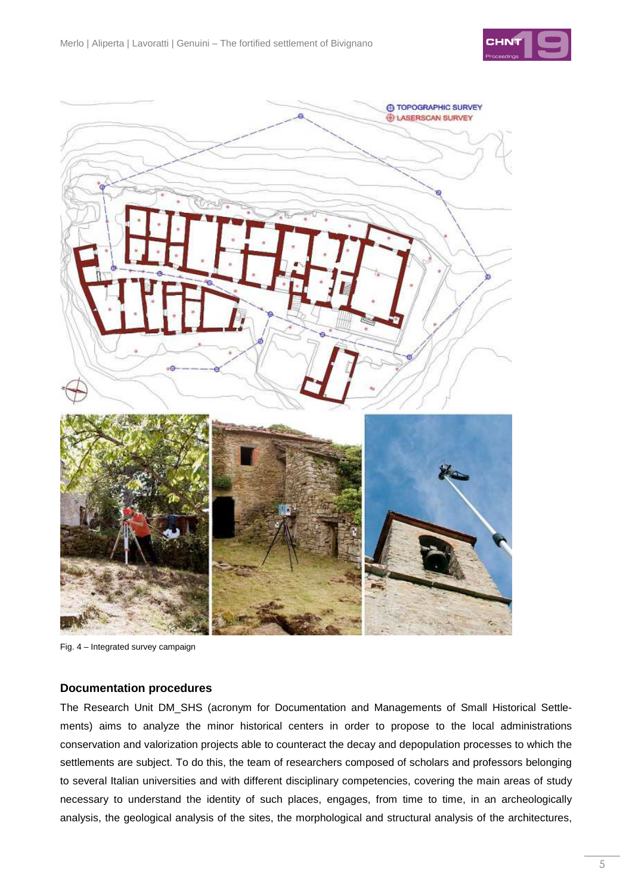



Fig. 4 – Integrated survey campaign

#### **Documentation procedures**

The Research Unit DM\_SHS (acronym for Documentation and Managements of Small Historical Settlements) aims to analyze the minor historical centers in order to propose to the local administrations conservation and valorization projects able to counteract the decay and depopulation processes to which the settlements are subject. To do this, the team of researchers composed of scholars and professors belonging to several Italian universities and with different disciplinary competencies, covering the main areas of study necessary to understand the identity of such places, engages, from time to time, in an archeologically analysis, the geological analysis of the sites, the morphological and structural analysis of the architectures,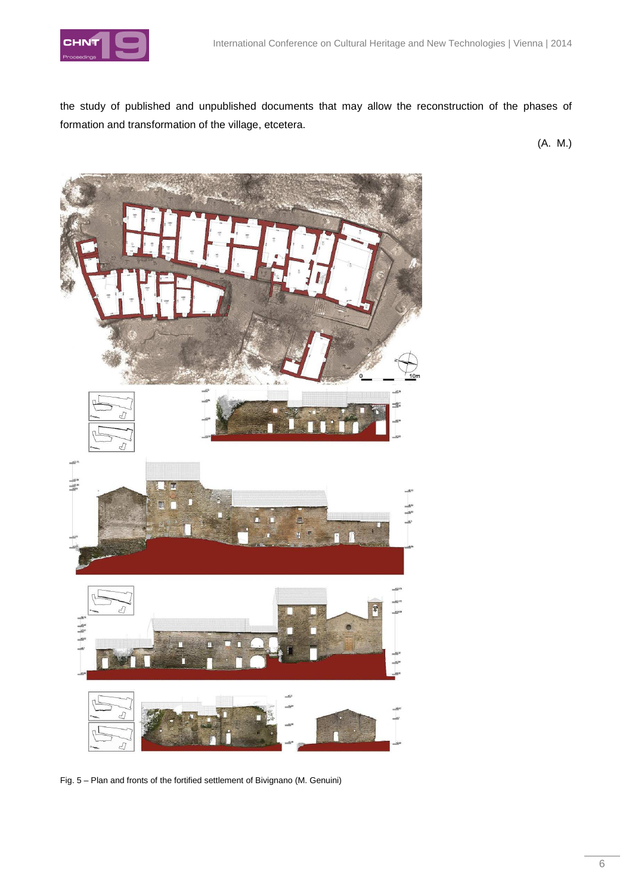

the study of published and unpublished documents that may allow the reconstruction of the phases of formation and transformation of the village, etcetera.

(A. M.)



Fig. 5 – Plan and fronts of the fortified settlement of Bivignano (M. Genuini)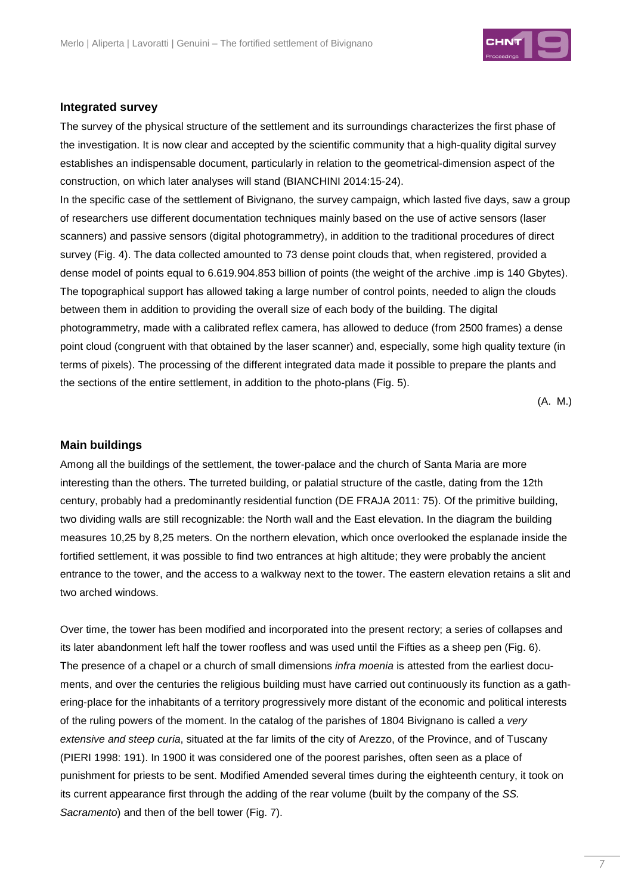

#### **Integrated survey**

The survey of the physical structure of the settlement and its surroundings characterizes the first phase of the investigation. It is now clear and accepted by the scientific community that a high-quality digital survey establishes an indispensable document, particularly in relation to the geometrical-dimension aspect of the construction, on which later analyses will stand (BIANCHINI 2014:15-24).

In the specific case of the settlement of Bivignano, the survey campaign, which lasted five days, saw a group of researchers use different documentation techniques mainly based on the use of active sensors (laser scanners) and passive sensors (digital photogrammetry), in addition to the traditional procedures of direct survey (Fig. 4). The data collected amounted to 73 dense point clouds that, when registered, provided a dense model of points equal to 6.619.904.853 billion of points (the weight of the archive .imp is 140 Gbytes). The topographical support has allowed taking a large number of control points, needed to align the clouds between them in addition to providing the overall size of each body of the building. The digital photogrammetry, made with a calibrated reflex camera, has allowed to deduce (from 2500 frames) a dense point cloud (congruent with that obtained by the laser scanner) and, especially, some high quality texture (in terms of pixels). The processing of the different integrated data made it possible to prepare the plants and the sections of the entire settlement, in addition to the photo-plans (Fig. 5).

(A. M.)

#### **Main buildings**

Among all the buildings of the settlement, the tower-palace and the church of Santa Maria are more interesting than the others. The turreted building, or palatial structure of the castle, dating from the 12th century, probably had a predominantly residential function (DE FRAJA 2011: 75). Of the primitive building, two dividing walls are still recognizable: the North wall and the East elevation. In the diagram the building measures 10,25 by 8,25 meters. On the northern elevation, which once overlooked the esplanade inside the fortified settlement, it was possible to find two entrances at high altitude; they were probably the ancient entrance to the tower, and the access to a walkway next to the tower. The eastern elevation retains a slit and two arched windows.

Over time, the tower has been modified and incorporated into the present rectory; a series of collapses and its later abandonment left half the tower roofless and was used until the Fifties as a sheep pen (Fig. 6). The presence of a chapel or a church of small dimensions *infra moenia* is attested from the earliest documents, and over the centuries the religious building must have carried out continuously its function as a gathering-place for the inhabitants of a territory progressively more distant of the economic and political interests of the ruling powers of the moment. In the catalog of the parishes of 1804 Bivignano is called a very extensive and steep curia, situated at the far limits of the city of Arezzo, of the Province, and of Tuscany (PIERI 1998: 191). In 1900 it was considered one of the poorest parishes, often seen as a place of punishment for priests to be sent. Modified Amended several times during the eighteenth century, it took on its current appearance first through the adding of the rear volume (built by the company of the SS. Sacramento) and then of the bell tower (Fig. 7).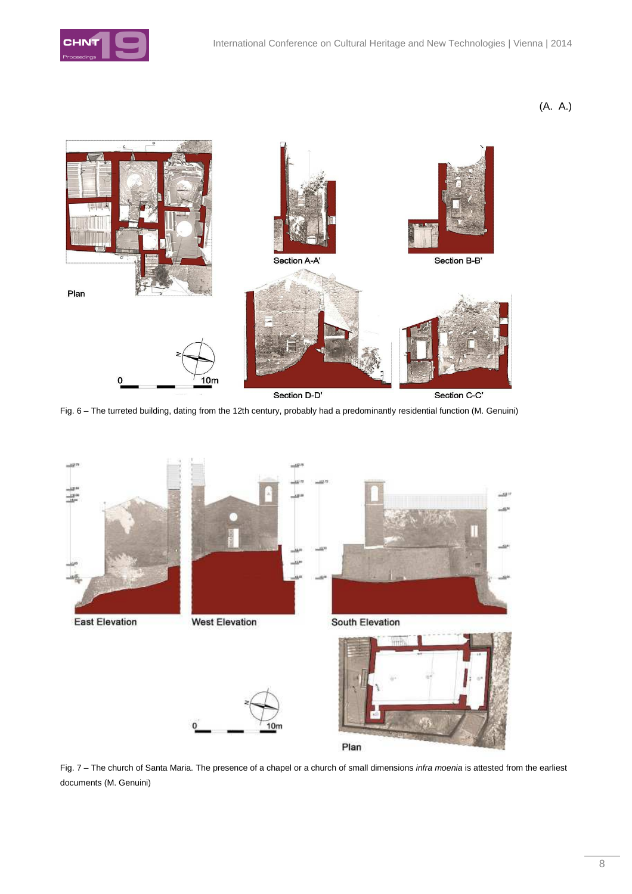

(A. A.)



Fig. 6 – The turreted building, dating from the 12th century, probably had a predominantly residential function (M. Genuini)



Fig. 7 – The church of Santa Maria. The presence of a chapel or a church of small dimensions infra moenia is attested from the earliest documents (M. Genuini)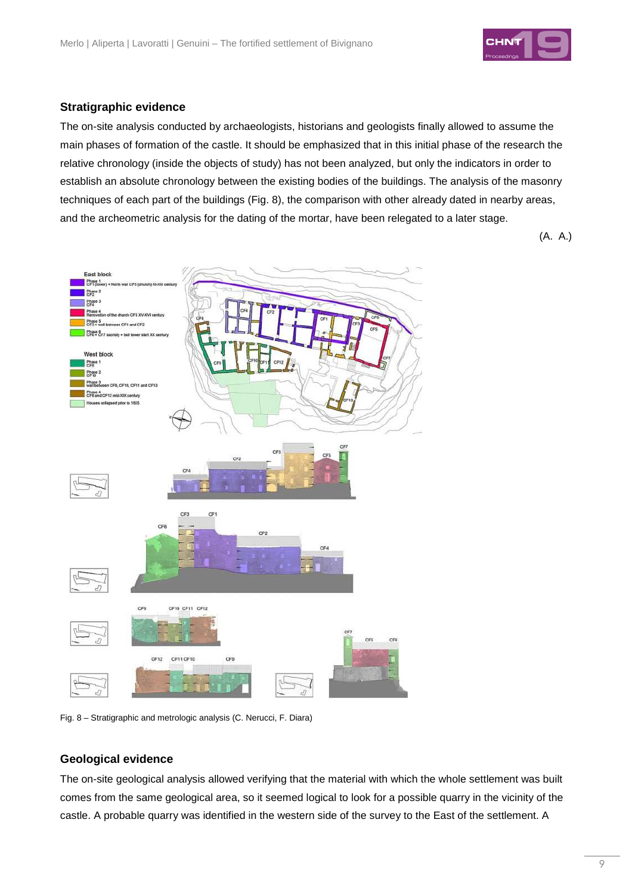

### **Stratigraphic evidence**

The on-site analysis conducted by archaeologists, historians and geologists finally allowed to assume the main phases of formation of the castle. It should be emphasized that in this initial phase of the research the relative chronology (inside the objects of study) has not been analyzed, but only the indicators in order to establish an absolute chronology between the existing bodies of the buildings. The analysis of the masonry techniques of each part of the buildings (Fig. 8), the comparison with other already dated in nearby areas, and the archeometric analysis for the dating of the mortar, have been relegated to a later stage.

(A. A.)



Fig. 8 – Stratigraphic and metrologic analysis (C. Nerucci, F. Diara)

### **Geological evidence**

The on-site geological analysis allowed verifying that the material with which the whole settlement was built comes from the same geological area, so it seemed logical to look for a possible quarry in the vicinity of the castle. A probable quarry was identified in the western side of the survey to the East of the settlement. A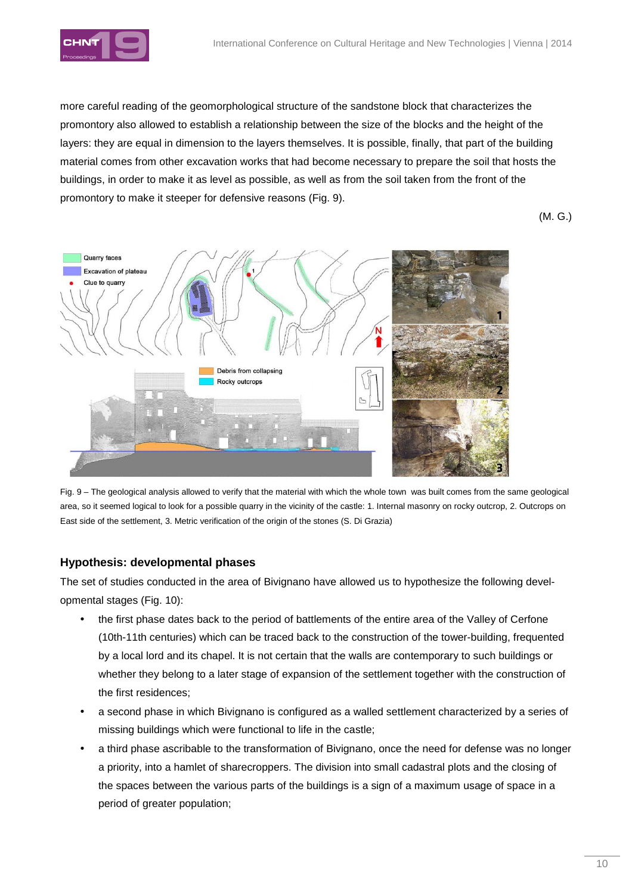

more careful reading of the geomorphological structure of the sandstone block that characterizes the promontory also allowed to establish a relationship between the size of the blocks and the height of the layers: they are equal in dimension to the layers themselves. It is possible, finally, that part of the building material comes from other excavation works that had become necessary to prepare the soil that hosts the buildings, in order to make it as level as possible, as well as from the soil taken from the front of the promontory to make it steeper for defensive reasons (Fig. 9).

(M. G.)



Fig. 9 – The geological analysis allowed to verify that the material with which the whole town was built comes from the same geological area, so it seemed logical to look for a possible quarry in the vicinity of the castle: 1. Internal masonry on rocky outcrop, 2. Outcrops on East side of the settlement, 3. Metric verification of the origin of the stones (S. Di Grazia)

### **Hypothesis: developmental phases**

The set of studies conducted in the area of Bivignano have allowed us to hypothesize the following developmental stages (Fig. 10):

- the first phase dates back to the period of battlements of the entire area of the Valley of Cerfone (10th-11th centuries) which can be traced back to the construction of the tower-building, frequented by a local lord and its chapel. It is not certain that the walls are contemporary to such buildings or whether they belong to a later stage of expansion of the settlement together with the construction of the first residences;
- a second phase in which Bivignano is configured as a walled settlement characterized by a series of missing buildings which were functional to life in the castle;
- a third phase ascribable to the transformation of Bivignano, once the need for defense was no longer a priority, into a hamlet of sharecroppers. The division into small cadastral plots and the closing of the spaces between the various parts of the buildings is a sign of a maximum usage of space in a period of greater population;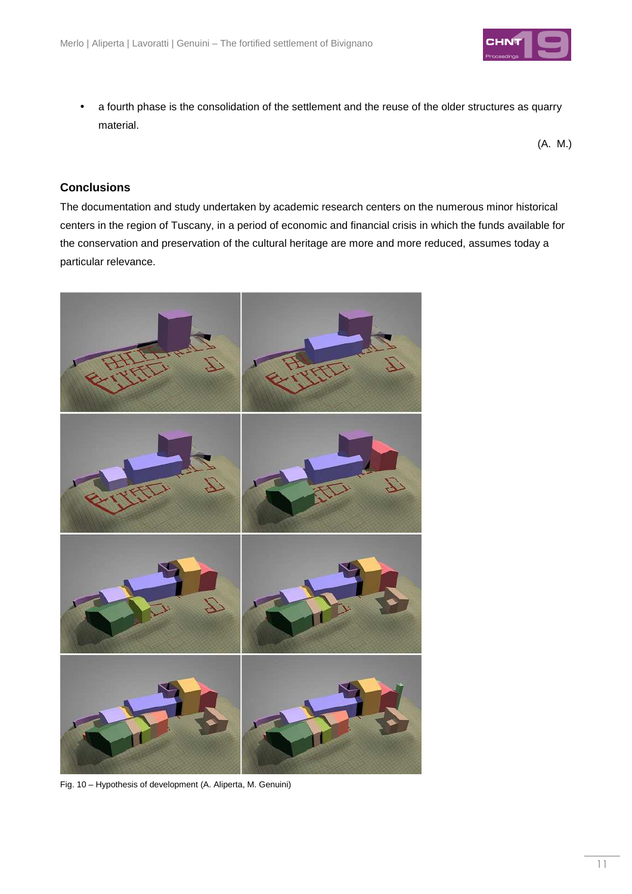

• a fourth phase is the consolidation of the settlement and the reuse of the older structures as quarry material.

(A. M.)

### **Conclusions**

The documentation and study undertaken by academic research centers on the numerous minor historical centers in the region of Tuscany, in a period of economic and financial crisis in which the funds available for the conservation and preservation of the cultural heritage are more and more reduced, assumes today a particular relevance.



Fig. 10 – Hypothesis of development (A. Aliperta, M. Genuini)